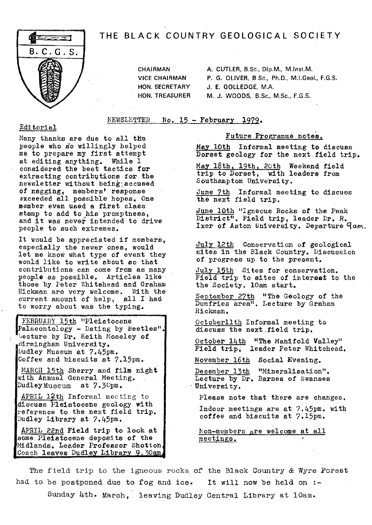### THE BLACK COUNTRY GEOLOGICAL SOCIETY



CHAIRMAN A. CUTLER, B.Sc., Dip.M., M.Inst.M. VICE CHAIRMAN P. G. OLIVER, B Sc., Ph.D., M.I.Geol, F.G.S. HON. SECRETARY J. E. GOLLEDGE, M.A. HON, TREASURER M. J. WOODS, B.Sc., M.Sc., F.G,S.

NEWSLETTER No.  $15$  - February 1979.

#### Editorial

Many thanks are due to all the people who so willingly helped me to prepare my first attempt at editing anything. While I considered the best tactics for extracting contributions for the newsletter without being;accused of nagging, members' response axceeded all possible hopes. One member even used a first class stamp to add to his promptness, and it was never intended to drive people to such extremes.

It would be appreciated if members, especially the newer ones, would let me know what type of event they would like to write about so that contributions can come from as many people as possible. Articles like those by Peter Whitehead and Graham Hickman are very welcome. With the current amount of help, all I had to worry about was the typing.

FEBRUARY 15th "Pleistocene Palaeontology - Dating by Beetles' Lecture by  $Dr$ . Keith Moseley of Birmingham University. Dudley Museum at 7.45pm, Coffee and biscuits at 7.l5pm.

MARCH 15th Sherry and film night with Annual General Meeting. DudleyMuseum at 7.3Gpm.

APRIL 12th Informal meeting to discuss Pleistocene geology with reference to the next field trip. Dudley Library at 7.45pm.

APRIL 22nd Field trip to look at some Pleistocene deposits of the. Midlands. Leader Professor Shotton Coach leaves Dudley Library 9.30am.

#### Future Programme notes,

May loth Informal meeting to discuss Dorset geology for the next field trip.

May 18th, 19th, 2Oth Weekend field trip to Dorset, with leaders from Southampton University.

June 7th Informal meeting to discuss the next field trip.

June l0th "Igneous Rocks of the Peak District". Field trip, leader Dr. R. Ixer of Aston University. Departure  $q_{am}$ .

July 12th Conservation of geological sites in the Black Country. Discussion of progress up to the present.

July 15th Sites for conservation. Field trip to sites of interest to the the Society. 10am start.

September 27th "The Geology of the Dumfries area". Lecture by Graham Hickman.

Octoberllth Informal meeting to discuss the next.field trip.

October 14th "The Manifold Valley" Field trip, leader Peter Whitehead.

November 16th Social Evening.

December 13th "Mineralisation". Lecture by Dr. Barnes of Swansea • University.

Please note that there are changes.

Indoor meetings are at 7.45pm. with coffee and biscuits at 7.l5pm.

Non-members are welcome at all meetings.

The field trip to the igneous rocks of the Black Country & Wyre Forest had to be postponed due to fog and ice. It will now be held on :-Sunday Lth. March, leaving Dudley Central Library at 10am.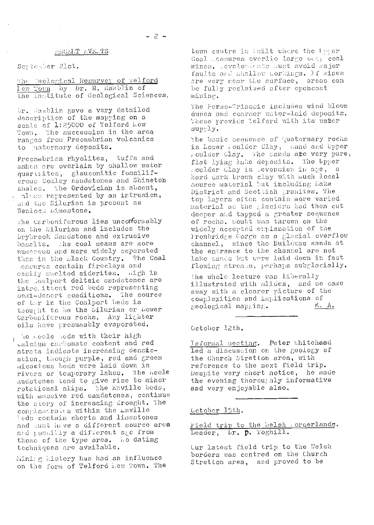#### RECENT FVELTS

Scriesber 21st.

The Geological Resurvey of relierd Lew Town by Dr. R. Hamblin of the Institute of Geological Sciences.

ir. Mamblin gave a very detailed description of the mapping on a scale of 1:25000 of Telford New Town. The succession in the area ranges from Precambrian volcanics to uaternary deposits.

Precambrian rhyolites, tuffs and ashes are overlain by shallow water quartites, glauconitic fossiliferous Comley sandstones and Shineton shales. the Ordovician is absent,  $\tau$  pless represented by an intrusion, and the Silurian is present as Wenlock Limestone.

The Carboniferous lies unconformably on the Silurian and includes the Drybrook Sandstone and extrusive basalts. the coal seams are more numerous and more widely separated than in the Elack Country. The Coal leasures contain fireclays and casily smelted siderites. Migh in the Soalport deltaic sandstones are intremittent red beds representing semi-descrt conditions. The source of the in the Coalport beds is thought to be the Silurian or Lower Carboniferous rocks. Any lighter oils have presumably evaporated.

The Reele bods with their high calcium carbonate content and red strata indicate increasing dessication, though purple, red and green micacious beds were laid down in the Reele rivers or temporary lakes. mudstones tend to give rise to minor rotational slips. The Enville bods,<br>with massive red sandstones, continue the story of increasing crought. The congloscrates within the muille Leds contain cherts and limestones and sust have a different source area and possibly a different age from those of the type area. Lo dating techniques are available.

Mining history has had an influence on the form of Telford new Town. The

town centre is fuilt where the liger Coal Leasures overlie large out; coal mines. leveloraente aust avoid major faults and shallow workings. If mines are very near the surface, areas can be fully reclaimed after opencast mining.

The Permo-Triassic includes wind blown dunes and coarser water-laid deposits. Those provide "elford with its water supply.

The basic sequence of Quaternary rocks is Lower Loulder Clay, aand and Upper Foulder Clay. The sands ate very pure, flat lying lake deposits. The Upper moulder Clay is Sevensian in age, a hard dark brown clay with much local source material but including Lake District and Scottish granites. The top layers often contain more varied material as the glaciers had then cut deeper and tapped a greater sequence of rocks. Coubt was thrown on the widely accepted emplanation of the Ironbridge Gorge as a glacial overflow channel, since the Buildwas sands at the entrance to the channel are not lake sands but were laid down in fast flowing streass, perhaps subglacially.

the whole lecture was liberally illustrated with slides, and we came away with a clearer picture of the complexities and implications of K. A.  $geological map, ing.$ 

#### October 12th.

Informal meeting. Peter Whitehaad led a discussion on the geology of the Church Stretton area, with reference to the next field trip. Despite very short notice, he made the evening thoroughly informative and very enjoyable also.

#### Cetober 15th.

Field trip to the Welsh . orderlands. Leader, Lr. p. Toghill.

Cur latest field trip to the Welsh borders was centred on the Church Stretton area, and proved to be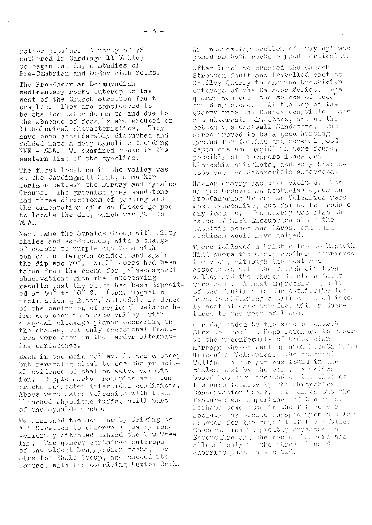rather popular. A party of 76 gathered in Cardingmil.l Valley to begin the day's studies of **Pro-Cambrian** and Ordovician rocks.

The Pre-Cambrian Longmyndian sedimentary rocks outcrop to the west of the Church Stretton fault complex. They are **considered** to be shallow water deposits and due to the absence of fossils **are** grouped on lithological characteristics. have been considerably **disturbed** and folded into a deep syncline trending  $NNE$  -  $SSW$ . We examined rocks in the eastern limb of the syncline.

The first location in the valley was at the Cardingmill Grit, a marker horizon between the Burway and Synalds<br>Groups. The greenish grey sandstone The greenish grey sandstone .sad three directions of **parting** and the orientation of mica flakes helped to locate the dip, which was 70<sup>°</sup> to WNW.,

Lent came the Synalds Group with silty shales and sandstones, with a change of colour to purple due to a high content of ferrous oxides, and again the dip was 70<sup>°</sup>. Small cores had been taken from the rocks for palaeomagnetic observations *with* the **interesting**ng; results that the rocks had been deposit-<br>ed at 50<sup>°</sup> to 60<sup>°</sup> S. (tan. magnetic inclination - 2.tan. latitude). Evidence of the beginning of regional metamorphism was seen in a side valley, with diagonal **cleavage pianos** occurring in diagonal credings premissional fractares were seen in the **herder** alternating sandstones.

Back in the main valley, it was a steep but rewarding climb to see the principal evidence of shallow water **deposit**ion. Ripple marks, raippits and sun cracks suggested intertidal conditions. Above were latch Volcanics with their bleached rhyolitic tuffs, still part of the Synalds Group.

We finished the morning by driving to All Stretton to observe a quarry conveniently situated behind the tow Tree Inn. The quarry contained outcrops of the 61dest Longayndian rocks, the Stretton Shale Group, and showed its contact with the overlying Euxton Rock.

An interesting problem of 'way-up' was posed as both rocks dipped vertically.

After lunch we crossed the Church Stretton fault and travelled east to Soudley Quarry to examine Ordovician outcrops of the Caradoc Series, The quarry was once the source of local building stones. At the top of the quarry were the Cheney Longville Flags and alternata Limestone, and at the bottom the Chatwall Sandstone. The scree **proved** to be a good hunting  $\frac{1}{2}$  *round* for fossils and several good cephalons and pygidiums were found, possibly of Troeggerolithus and lioucekia apiculata, and many braciopods such as lieterorthis alternata.

Hazler quarry was then visited. Its unique Ordovician neptumian dytes in I ro-Cambrian Uriconian Volcanics were most impressive, but failed to produce any fossils. The quarry was also the cause of much discussion about the basaltic ashes and lavas, and thin sections would have helped.

There followed a brisk climb to Ragleth Hill where the aisty westher restricted the view, slthough the fastures associatedc: **Chinch**cii **[ art ton**  $value$  ond the Church Strotics fault of the faulting is the outlier (Wenle Liscatono) forming a hilloc<sup>!</sup> ive voo<br>licr(We<br>bilaaed<br>iBilo J lisostone) forming a hilloc<sup>t r</sup>aded is t<br>ty west of Caer Caradoc, with a lownthrow to the woot of ICOOM.

tur day ended by the side of Charch Stretton road at Hope Fowdler, to caserstretton road at nope Fowdich, co<br>ve the unconformity of Urdovician lariate shares rescript show increased Triconian volcenies. The escricul shales just by the road. A sotice board has been crected on the site of board has been crected on the<br>the unconformity by the Shro<sub>l</sub> Conservation Trust. It points out the features and importance of the site. l'erhaps some time in the future cur c Ciles Ciles Ciles Ciles<br>Conservation in greatly stress Conservation is greatly stressed in Shropshire and the use of hamers was allowed only in the three disused quarries that we visited.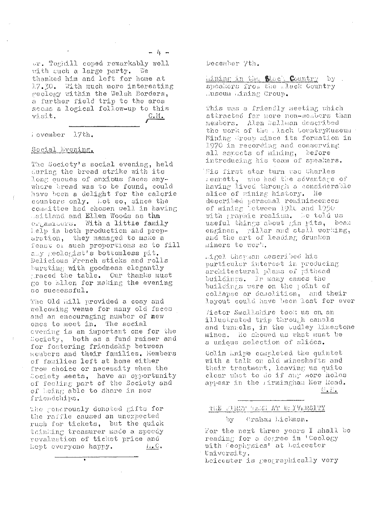or. Toghill coped remarkably well with cuch a large party. We thanked him and left for home at 17.30. With much more interesting reology within the Welsh Borders, a further field trip to the area<br>seems a logical follow-up to this visit.  $C_{\bullet}M_{\bullet}$ 

i ovember 17th.

#### Social Evening.

The Society's social evening, held during the bread strike with its long quoues of anxious faces anywhere bread was to be found, could have been a delight for the calorie counters only. Lot so, since the committee had chosen well in having Jaitland and Ellen Woods as the organisers. With a little family help in both production and preparation, they managed to make a feast of such proportions as to fill aby reologist's bottomless pit. Delicious French sticks and rolls bursting with goodness elegantly traced the table. Our thanks must go to Ellen for making the evening so successful.

The Old Mill provided a cosy and welcoming venue for many old faces and an encouraging number of new ones to meet in. The social evening is an important one for the Society, both as a fund raiser and for fostering friendship between members and their families. Members of families left at home either from choice or necessity when the Society meets, have an opportunity of feeling part of the Society and of being able to share in new friendships.

the generously donated gifts for the raffle caused an unexpected rush for tickets, but the quick thinking treasurer made a speedy revaluation of ticket price and kept everyone happy.  $i_{\perp}$  C  $\parallel$ 

becember 7th.

hining in the Slack Country by . speakers from the . lack Country Juseum Wining Group.

This was a friendly meeting which attracted far more non-members than members. Alen Ballman described the work of the Jack CountryMuseum Mining Group since its formation in 1970 in recording and conserving all aspects of mining, before introducing his team of speakers.

His first star turn was Charles rennett, who had the advantage of having lived through a considerable slice of mining history. He described personal reminiscences of mining between 1910 and 1950 with graphic realism. Le told us useful things about gin pits, beam engines, pillar and stall working, and the art of leading drunken miners to work.

Ligel Chapman described his particular interest in producing architectural plans of pithead buildings. In many cases the buildings were on the point of collapse or demolition, and their<br>layout could have been lost for ever

Victor Smallshire took us on an illustrated trip through canals and tunnels, in the budley limestone mines. He showed us what must be a unique selection of slides.

Colin inipe completed the quintet with a talk on old mineshafts and their treatment, leaving us quite clear what to do if any more holes appear in the Airmingham New Road. <u>G. B. </u>

#### THE FIRST TERR AT URIVERSITY

Graham Lickman. ùу

For the next three years I shall be reading for a degree in 'Geology with Ceophysics' at Leicester University.

Leicester is geographically very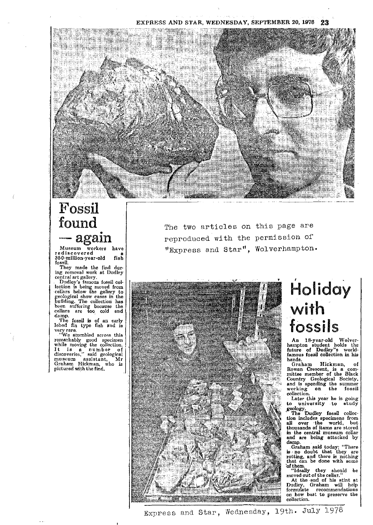#### EXPRESS AND STAR, WEDNESDAY, SEPTEMBER 20, 1976 **23**



# Fossil found

Museum workers have rediscovered a' 360-million-year-old fish

fossil. They made the find during removal work at Dudley

central art gallery. Dudley's famous fossil col' lection is being moved from cellars below the gallery to w g eological show cases in the ilding. The collection has been suffering because the cellars are too cold and damp.

The fossil is of an early lobed fin type fish and is

Very rare. ' We stumbled across this remarkably good specimen<br>while moving the collection.<br>It is a number of<br>museum assistant, Mr<br>museum assistant, Mr<br>Graham Hickman, who is<br>pictured with the find. The two articles on this page are reproduced with the permission of ,Express and Star", Wolverhampton.



## Holiday with fossils

An 18-year-old Wolver-hampton student holds the future of Dudley"s world-famous fossil collection in his hands.<br>Graham

Graham Hickman, of<br>Rowan Crescent, is a com-<br>mittee member of the Black<br>Country Geological Society,<br>and is spending the summer<br>working on the fossil collection.

Later this year he is going **to university to** study

geology.<br>The Dudley fossil collec-<br>tien includes assessment from tion includes specimens from all over -the world, but thousands of items are stored in the central museum cellar and are being attacked by

damp. Graham said today: "There is no doubt that they are rotting, and there is nothing that can be done with some

of them. "Ideally they should be moved out of the cellar," At the end of his stint at Dudley, Graham will help formulate recommendations on how best to preserve the collection.